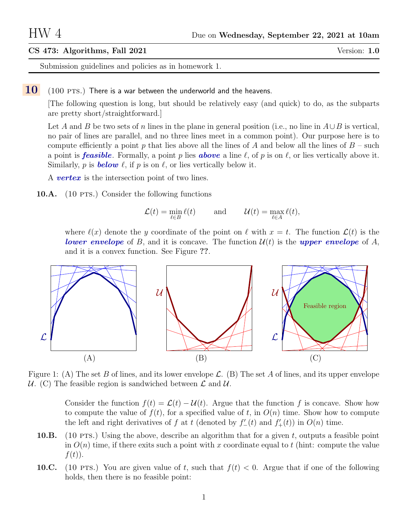## CS 473: Algorithms, Fall 2021 Version: 1.0

Submission guidelines and policies as in homework 1.

## $10$  (100 PTS.) There is a war between the underworld and the heavens.

[The following question is long, but should be relatively easy (and quick) to do, as the subparts are pretty short/straightforward.]

Let A and B be two sets of n lines in the plane in general position (i.e., no line in  $A\cup B$  is vertical, no pair of lines are parallel, and no three lines meet in a common point). Our purpose here is to compute efficiently a point p that lies above all the lines of A and below all the lines of  $B$  – such a point is **feasible**. Formally, a point p lies **above** a line  $\ell$ , of p is on  $\ell$ , or lies vertically above it. Similarly, p is **below**  $\ell$ , if p is on  $\ell$ , or lies vertically below it.

A **vertex** is the intersection point of two lines.

10.A. (10 PTS.) Consider the following functions

$$
\mathcal{L}(t) = \min_{\ell \in B} \ell(t) \quad \text{and} \quad \mathcal{U}(t) = \max_{\ell \in A} \ell(t),
$$

where  $\ell(x)$  denote the y coordinate of the point on  $\ell$  with  $x = t$ . The function  $\mathcal{L}(t)$  is the lower envelope of B, and it is concave. The function  $\mathcal{U}(t)$  is the upper envelope of A, and it is a convex function. See Figure ??.



Figure 1: (A) The set B of lines, and its lower envelope L. (B) The set A of lines, and its upper envelope U. (C) The feasible region is sandwiched between  $\mathcal L$  and  $\mathcal U$ .

Consider the function  $f(t) = \mathcal{L}(t) - \mathcal{U}(t)$ . Argue that the function f is concave. Show how to compute the value of  $f(t)$ , for a specified value of t, in  $O(n)$  time. Show how to compute the left and right derivatives of f at t (denoted by  $f'_{-}(t)$  and  $f'_{+}(t)$ ) in  $O(n)$  time.

- **10.B.** (10 PTS.) Using the above, describe an algorithm that for a given t, outputs a feasible point in  $O(n)$  time, if there exits such a point with x coordinate equal to t (hint: compute the value  $f(t)$ ).
- 10.C. (10 PTS.) You are given value of t, such that  $f(t) < 0$ . Argue that if one of the following holds, then there is no feasible point: